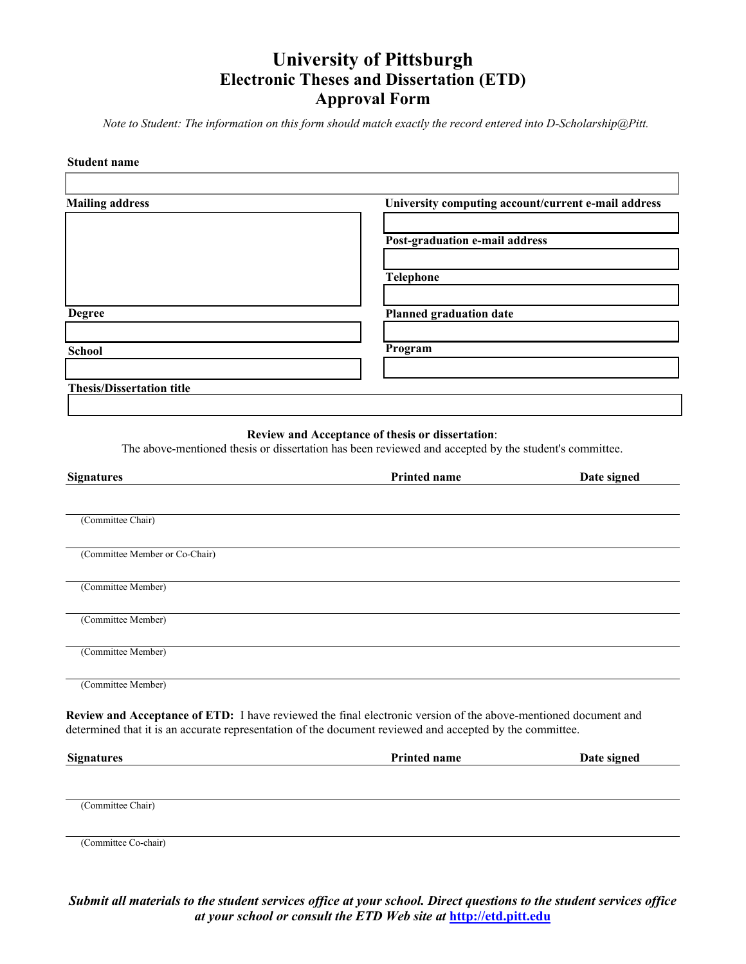# **University of Pittsburgh Electronic Theses and Dissertation (ETD) Approval Form**

*Note to Student: The information on this form should match exactly the record entered into D-Scholarship@Pitt.*

#### **Student name**

ſ

| <b>Mailing address</b>           | University computing account/current e-mail address |
|----------------------------------|-----------------------------------------------------|
|                                  | Post-graduation e-mail address                      |
|                                  | <b>Telephone</b>                                    |
| <b>Degree</b>                    | Planned graduation date                             |
| <b>School</b>                    | Program                                             |
| <b>Thesis/Dissertation title</b> |                                                     |

# **Review and Acceptance of thesis or dissertation**:

The above-mentioned thesis or dissertation has been reviewed and accepted by the student's committee.

| <b>Signatures</b>              | <b>Printed name</b>                                                                                                                                                                                                               | Date signed |
|--------------------------------|-----------------------------------------------------------------------------------------------------------------------------------------------------------------------------------------------------------------------------------|-------------|
|                                |                                                                                                                                                                                                                                   |             |
| (Committee Chair)              |                                                                                                                                                                                                                                   |             |
| (Committee Member or Co-Chair) |                                                                                                                                                                                                                                   |             |
| (Committee Member)             |                                                                                                                                                                                                                                   |             |
| (Committee Member)             |                                                                                                                                                                                                                                   |             |
| (Committee Member)             |                                                                                                                                                                                                                                   |             |
| (Committee Member)             |                                                                                                                                                                                                                                   |             |
|                                | <b>Review and Acceptance of ETD:</b> I have reviewed the final electronic version of the above-mentioned document and<br>determined that it is an accurate representation of the document reviewed and accepted by the committee. |             |
| Cianation                      | D <sub>wind</sub>                                                                                                                                                                                                                 | Data signal |

| <b>Signatures</b> | Printed name | Date signed |
|-------------------|--------------|-------------|
|                   |              |             |
|                   |              |             |
|                   |              |             |
| (Committee Chair) |              |             |
|                   |              |             |

(Committee Co-chair)

*Submit all materials to the student services office at your school. Direct questions to the student services office at your school or consult the ETD Web site at* **[http://etd.pitt.edu](http://etd.pitt.edu/)**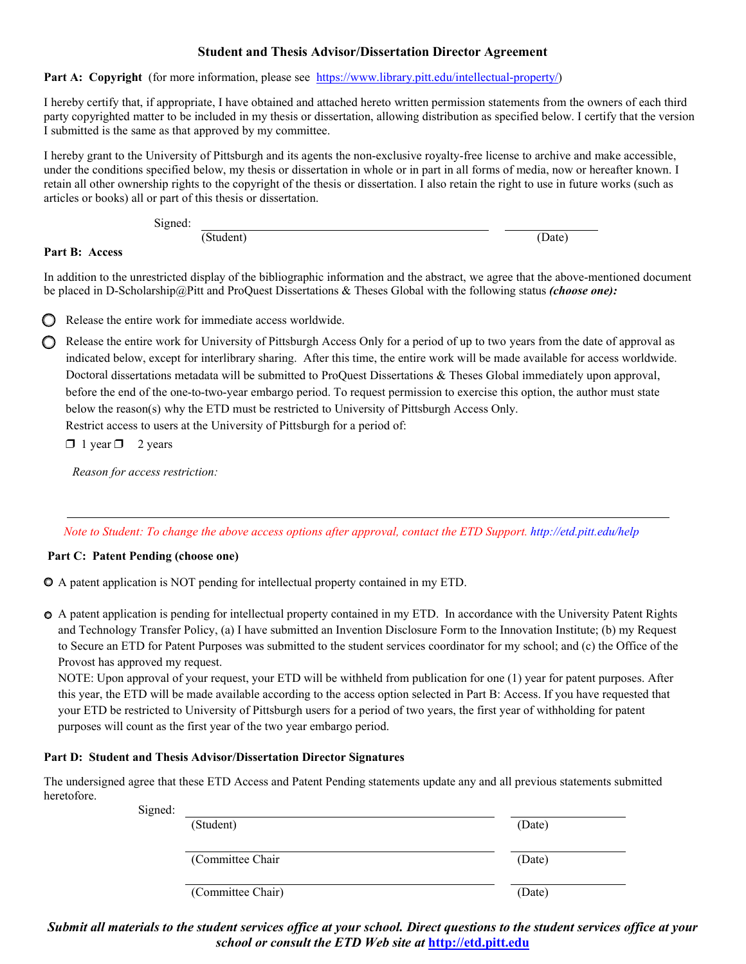# **Student and Thesis Advisor/Dissertation Director Agreement**

**Part A: Copyright** (for more information, please see [https://www.library.pitt.edu/intellectual-property/\)](http://www.library.pitt.edu/guides/copyright/)

I hereby certify that, if appropriate, I have obtained and attached hereto written permission statements from the owners of each third party copyrighted matter to be included in my thesis or dissertation, allowing distribution as specified below. I certify that the version I submitted is the same as that approved by my committee.

I hereby grant to the University of Pittsburgh and its agents the non-exclusive royalty-free license to archive and make accessible, under the conditions specified below, my thesis or dissertation in whole or in part in all forms of media, now or hereafter known. I retain all other ownership rights to the copyright of the thesis or dissertation. I also retain the right to use in future works (such as articles or books) all or part of this thesis or dissertation.

Signed:

(Student) (Date)

## **Part B: Access**

In addition to the unrestricted display of the bibliographic information and the abstract, we agree that the above-mentioned document be placed in D-Scholarship@Pitt and ProQuest Dissertations & Theses Global with the following status *(choose one):*



❒ Release the entire work for immediate access worldwide.

◯ Release the entire work for University of Pittsburgh Access Only for a period of up to two years from the date of approval as indicated below, except for interlibrary sharing. After this time, the entire work will be made available for access worldwide. Doctoral dissertations metadata will be submitted to ProQuest Dissertations & Theses Global immediately upon approval, before the end of the one-to-two-year embargo period. To request permission to exercise this option, the author must state below the reason(s) why the ETD must be restricted to University of Pittsburgh Access Only.

Restrict access to users at the University of Pittsburgh for a period of:

 $\Box$  1 year  $\Box$  2 years

*Reason for access restriction:*

Note to Student: To change the above access options after approval, contact the ETD Support. [http://etd.pitt.edu/](http://etd.pitt.edu/help)help

## **Part C: Patent Pending (choose one)**

A patent application is NOT pending for intellectual property contained in my ETD.

A patent application is pending for intellectual property contained in my ETD. In accordance with the University Patent Rights and Technology Transfer Policy, (a) I have submitted an Invention Disclosure Form to the Innovation Institute; (b) my Request to Secure an ETD for Patent Purposes was submitted to the student services coordinator for my school; and (c) the Office of the Provost has approved my request.

NOTE: Upon approval of your request, your ETD will be withheld from publication for one (1) year for patent purposes. After this year, the ETD will be made available according to the access option selected in Part B: Access. If you have requested that your ETD be restricted to University of Pittsburgh users for a period of two years, the first year of withholding for patent purposes will count as the first year of the two year embargo period.

#### **Part D: Student and Thesis Advisor/Dissertation Director Signatures**

The undersigned agree that these ETD Access and Patent Pending statements update any and all previous statements submitted heretofore.

| (Student)        | (Date)            |
|------------------|-------------------|
|                  |                   |
| (Committee Chair | (Date)            |
|                  | (Date)            |
|                  | (Committee Chair) |

*Submit all materials to the student services office at your school. Direct questions to the student services office at your school or consult the ETD Web site at* **[http://etd.pitt.edu](http://etd.pitt.edu/)**